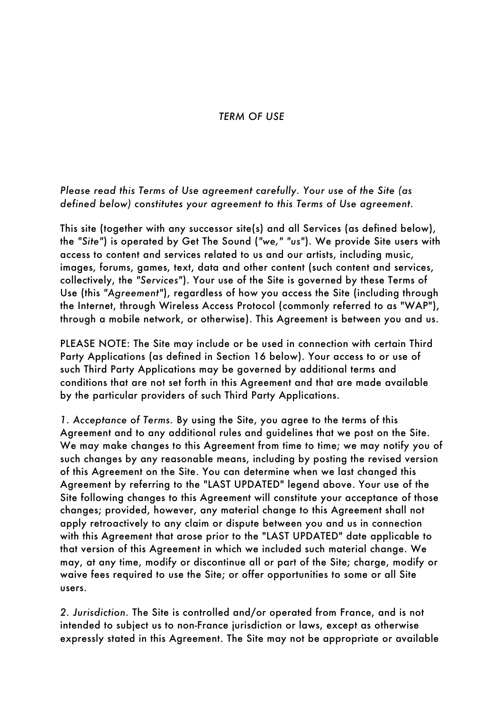## *TERM OF USE*

## *Please read this Terms of Use agreement carefully. Your use of the Site (as defined below) constitutes your agreement to this Terms of Use agreement.*

This site (together with any successor site(s) and all Services (as defined below), the *"Site"*) is operated by Get The Sound (*"we," "us"*). We provide Site users with access to content and services related to us and our artists, including music, images, forums, games, text, data and other content (such content and services, collectively, the *"Services"*). Your use of the Site is governed by these Terms of Use (this *"Agreement"*), regardless of how you access the Site (including through the Internet, through Wireless Access Protocol (commonly referred to as "WAP"), through a mobile network, or otherwise). This Agreement is between you and us.

PLEASE NOTE: The Site may include or be used in connection with certain Third Party Applications (as defined in Section 16 below). Your access to or use of such Third Party Applications may be governed by additional terms and conditions that are not set forth in this Agreement and that are made available by the particular providers of such Third Party Applications.

*1. Acceptance of Terms.* By using the Site, you agree to the terms of this Agreement and to any additional rules and guidelines that we post on the Site. We may make changes to this Agreement from time to time; we may notify you of such changes by any reasonable means, including by posting the revised version of this Agreement on the Site. You can determine when we last changed this Agreement by referring to the "LAST UPDATED" legend above. Your use of the Site following changes to this Agreement will constitute your acceptance of those changes; provided, however, any material change to this Agreement shall not apply retroactively to any claim or dispute between you and us in connection with this Agreement that arose prior to the "LAST UPDATED" date applicable to that version of this Agreement in which we included such material change. We may, at any time, modify or discontinue all or part of the Site; charge, modify or waive fees required to use the Site; or offer opportunities to some or all Site users.

*2. Jurisdiction.* The Site is controlled and/or operated from France, and is not intended to subject us to non-France jurisdiction or laws, except as otherwise expressly stated in this Agreement. The Site may not be appropriate or available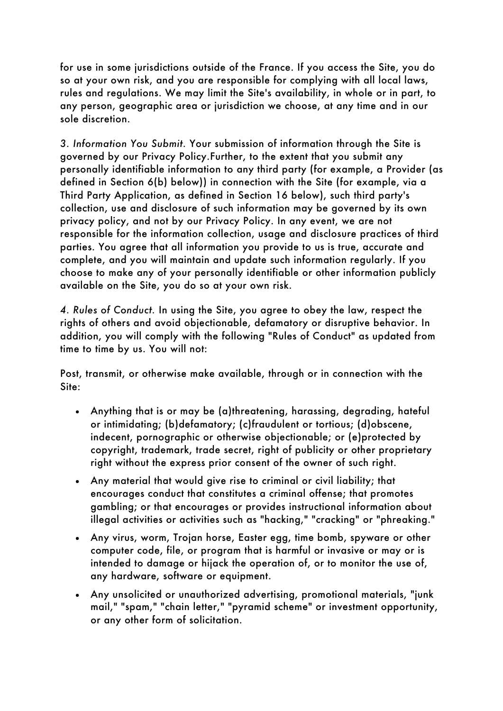for use in some jurisdictions outside of the France. If you access the Site, you do so at your own risk, and you are responsible for complying with all local laws, rules and regulations. We may limit the Site's availability, in whole or in part, to any person, geographic area or jurisdiction we choose, at any time and in our sole discretion.

*3. Information You Submit.* Your submission of information through the Site is governed by our Privacy Policy.Further, to the extent that you submit any personally identifiable information to any third party (for example, a Provider (as defined in Section 6(b) below)) in connection with the Site (for example, via a Third Party Application, as defined in Section 16 below), such third party's collection, use and disclosure of such information may be governed by its own privacy policy, and not by our Privacy Policy. In any event, we are not responsible for the information collection, usage and disclosure practices of third parties. You agree that all information you provide to us is true, accurate and complete, and you will maintain and update such information regularly. If you choose to make any of your personally identifiable or other information publicly available on the Site, you do so at your own risk.

*4. Rules of Conduct.* In using the Site, you agree to obey the law, respect the rights of others and avoid objectionable, defamatory or disruptive behavior. In addition, you will comply with the following "Rules of Conduct" as updated from time to time by us. You will not:

Post, transmit, or otherwise make available, through or in connection with the Site:

- Anything that is or may be (a)threatening, harassing, degrading, hateful or intimidating; (b)defamatory; (c)fraudulent or tortious; (d)obscene, indecent, pornographic or otherwise objectionable; or (e)protected by copyright, trademark, trade secret, right of publicity or other proprietary right without the express prior consent of the owner of such right.
- Any material that would give rise to criminal or civil liability; that encourages conduct that constitutes a criminal offense; that promotes gambling; or that encourages or provides instructional information about illegal activities or activities such as "hacking," "cracking" or "phreaking."
- Any virus, worm, Trojan horse, Easter egg, time bomb, spyware or other computer code, file, or program that is harmful or invasive or may or is intended to damage or hijack the operation of, or to monitor the use of, any hardware, software or equipment.
- Any unsolicited or unauthorized advertising, promotional materials, "junk mail," "spam," "chain letter," "pyramid scheme" or investment opportunity, or any other form of solicitation.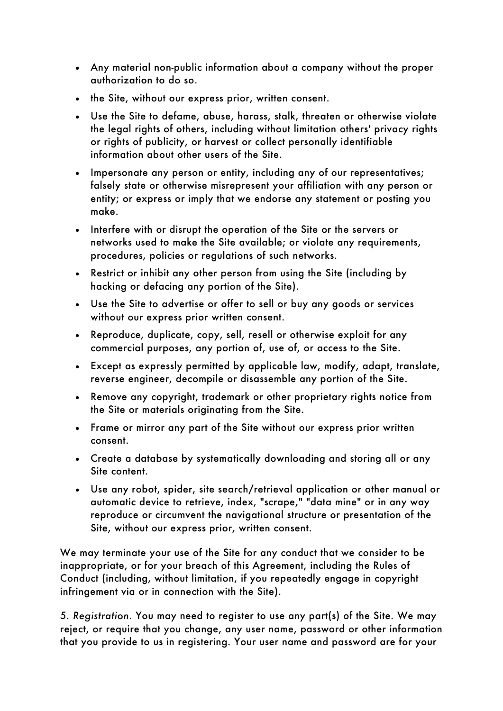- Any material non-public information about a company without the proper authorization to do so.
- the Site, without our express prior, written consent.
- Use the Site to defame, abuse, harass, stalk, threaten or otherwise violate the legal rights of others, including without limitation others' privacy rights or rights of publicity, or harvest or collect personally identifiable information about other users of the Site.
- Impersonate any person or entity, including any of our representatives; falsely state or otherwise misrepresent your affiliation with any person or entity; or express or imply that we endorse any statement or posting you make.
- Interfere with or disrupt the operation of the Site or the servers or networks used to make the Site available; or violate any requirements, procedures, policies or regulations of such networks.
- Restrict or inhibit any other person from using the Site (including by hacking or defacing any portion of the Site).
- Use the Site to advertise or offer to sell or buy any goods or services without our express prior written consent.
- Reproduce, duplicate, copy, sell, resell or otherwise exploit for any commercial purposes, any portion of, use of, or access to the Site.
- Except as expressly permitted by applicable law, modify, adapt, translate, reverse engineer, decompile or disassemble any portion of the Site.
- Remove any copyright, trademark or other proprietary rights notice from the Site or materials originating from the Site.
- Frame or mirror any part of the Site without our express prior written consent.
- Create a database by systematically downloading and storing all or any Site content.
- Use any robot, spider, site search/retrieval application or other manual or automatic device to retrieve, index, "scrape," "data mine" or in any way reproduce or circumvent the navigational structure or presentation of the Site, without our express prior, written consent.

We may terminate your use of the Site for any conduct that we consider to be inappropriate, or for your breach of this Agreement, including the Rules of Conduct (including, without limitation, if you repeatedly engage in copyright infringement via or in connection with the Site).

*5. Registration.* You may need to register to use any part(s) of the Site. We may reject, or require that you change, any user name, password or other information that you provide to us in registering. Your user name and password are for your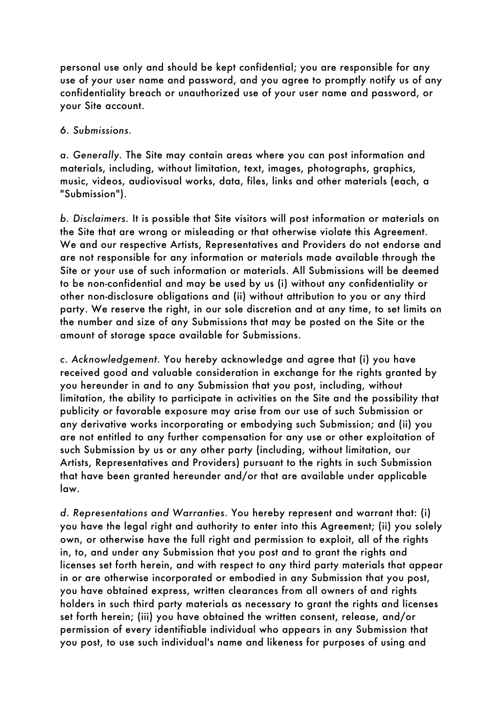personal use only and should be kept confidential; you are responsible for any use of your user name and password, and you agree to promptly notify us of any confidentiality breach or unauthorized use of your user name and password, or your Site account.

## *6. Submissions.*

*a. Generally.* The Site may contain areas where you can post information and materials, including, without limitation, text, images, photographs, graphics, music, videos, audiovisual works, data, files, links and other materials (each, a "Submission").

*b. Disclaimers.* It is possible that Site visitors will post information or materials on the Site that are wrong or misleading or that otherwise violate this Agreement. We and our respective Artists, Representatives and Providers do not endorse and are not responsible for any information or materials made available through the Site or your use of such information or materials. All Submissions will be deemed to be non-confidential and may be used by us (i) without any confidentiality or other non-disclosure obligations and (ii) without attribution to you or any third party. We reserve the right, in our sole discretion and at any time, to set limits on the number and size of any Submissions that may be posted on the Site or the amount of storage space available for Submissions.

*c. Acknowledgement.* You hereby acknowledge and agree that (i) you have received good and valuable consideration in exchange for the rights granted by you hereunder in and to any Submission that you post, including, without limitation, the ability to participate in activities on the Site and the possibility that publicity or favorable exposure may arise from our use of such Submission or any derivative works incorporating or embodying such Submission; and (ii) you are not entitled to any further compensation for any use or other exploitation of such Submission by us or any other party (including, without limitation, our Artists, Representatives and Providers) pursuant to the rights in such Submission that have been granted hereunder and/or that are available under applicable law.

*d. Representations and Warranties.* You hereby represent and warrant that: (i) you have the legal right and authority to enter into this Agreement; (ii) you solely own, or otherwise have the full right and permission to exploit, all of the rights in, to, and under any Submission that you post and to grant the rights and licenses set forth herein, and with respect to any third party materials that appear in or are otherwise incorporated or embodied in any Submission that you post, you have obtained express, written clearances from all owners of and rights holders in such third party materials as necessary to grant the rights and licenses set forth herein; (iii) you have obtained the written consent, release, and/or permission of every identifiable individual who appears in any Submission that you post, to use such individual's name and likeness for purposes of using and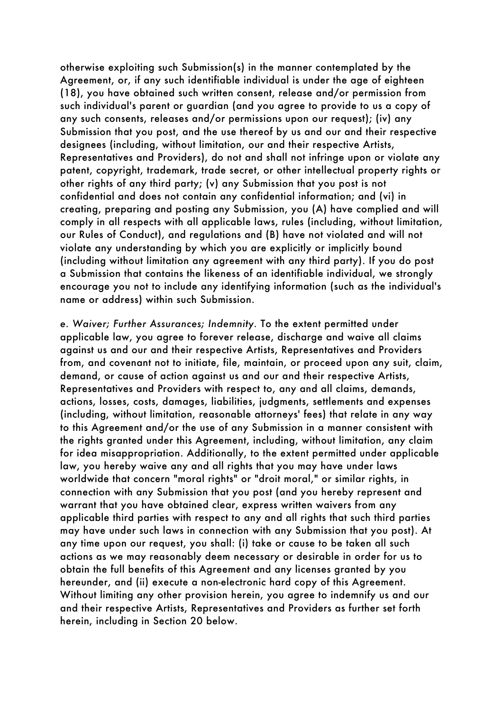otherwise exploiting such Submission(s) in the manner contemplated by the Agreement, or, if any such identifiable individual is under the age of eighteen (18), you have obtained such written consent, release and/or permission from such individual's parent or guardian (and you agree to provide to us a copy of any such consents, releases and/or permissions upon our request); (iv) any Submission that you post, and the use thereof by us and our and their respective designees (including, without limitation, our and their respective Artists, Representatives and Providers), do not and shall not infringe upon or violate any patent, copyright, trademark, trade secret, or other intellectual property rights or other rights of any third party; (v) any Submission that you post is not confidential and does not contain any confidential information; and (vi) in creating, preparing and posting any Submission, you (A) have complied and will comply in all respects with all applicable laws, rules (including, without limitation, our Rules of Conduct), and regulations and (B) have not violated and will not violate any understanding by which you are explicitly or implicitly bound (including without limitation any agreement with any third party). If you do post a Submission that contains the likeness of an identifiable individual, we strongly encourage you not to include any identifying information (such as the individual's name or address) within such Submission.

*e. Waiver; Further Assurances; Indemnity.* To the extent permitted under applicable law, you agree to forever release, discharge and waive all claims against us and our and their respective Artists, Representatives and Providers from, and covenant not to initiate, file, maintain, or proceed upon any suit, claim, demand, or cause of action against us and our and their respective Artists, Representatives and Providers with respect to, any and all claims, demands, actions, losses, costs, damages, liabilities, judgments, settlements and expenses (including, without limitation, reasonable attorneys' fees) that relate in any way to this Agreement and/or the use of any Submission in a manner consistent with the rights granted under this Agreement, including, without limitation, any claim for idea misappropriation. Additionally, to the extent permitted under applicable law, you hereby waive any and all rights that you may have under laws worldwide that concern "moral rights" or "droit moral," or similar rights, in connection with any Submission that you post (and you hereby represent and warrant that you have obtained clear, express written waivers from any applicable third parties with respect to any and all rights that such third parties may have under such laws in connection with any Submission that you post). At any time upon our request, you shall: (i) take or cause to be taken all such actions as we may reasonably deem necessary or desirable in order for us to obtain the full benefits of this Agreement and any licenses granted by you hereunder, and (ii) execute a non-electronic hard copy of this Agreement. Without limiting any other provision herein, you agree to indemnify us and our and their respective Artists, Representatives and Providers as further set forth herein, including in Section 20 below.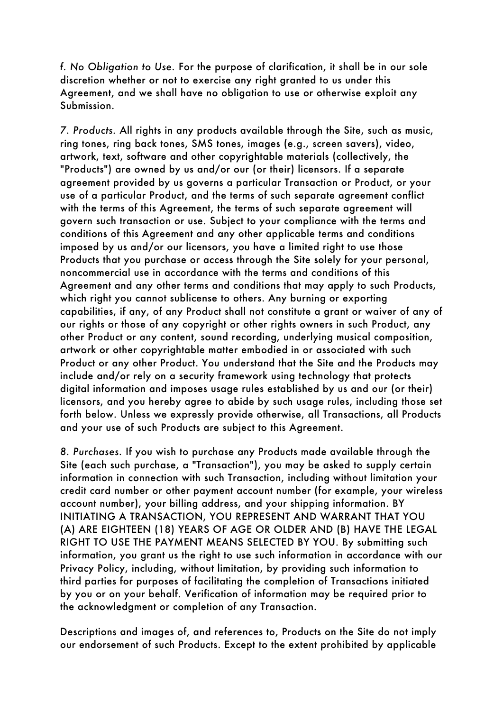*f. No Obligation to Use.* For the purpose of clarification, it shall be in our sole discretion whether or not to exercise any right granted to us under this Agreement, and we shall have no obligation to use or otherwise exploit any Submission.

*7. Products.* All rights in any products available through the Site, such as music, ring tones, ring back tones, SMS tones, images (e.g., screen savers), video, artwork, text, software and other copyrightable materials (collectively, the "Products") are owned by us and/or our (or their) licensors. If a separate agreement provided by us governs a particular Transaction or Product, or your use of a particular Product, and the terms of such separate agreement conflict with the terms of this Agreement, the terms of such separate agreement will govern such transaction or use. Subject to your compliance with the terms and conditions of this Agreement and any other applicable terms and conditions imposed by us and/or our licensors, you have a limited right to use those Products that you purchase or access through the Site solely for your personal, noncommercial use in accordance with the terms and conditions of this Agreement and any other terms and conditions that may apply to such Products, which right you cannot sublicense to others. Any burning or exporting capabilities, if any, of any Product shall not constitute a grant or waiver of any of our rights or those of any copyright or other rights owners in such Product, any other Product or any content, sound recording, underlying musical composition, artwork or other copyrightable matter embodied in or associated with such Product or any other Product. You understand that the Site and the Products may include and/or rely on a security framework using technology that protects digital information and imposes usage rules established by us and our (or their) licensors, and you hereby agree to abide by such usage rules, including those set forth below. Unless we expressly provide otherwise, all Transactions, all Products and your use of such Products are subject to this Agreement.

*8. Purchases.* If you wish to purchase any Products made available through the Site (each such purchase, a "Transaction"), you may be asked to supply certain information in connection with such Transaction, including without limitation your credit card number or other payment account number (for example, your wireless account number), your billing address, and your shipping information. BY INITIATING A TRANSACTION, YOU REPRESENT AND WARRANT THAT YOU (A) ARE EIGHTEEN (18) YEARS OF AGE OR OLDER AND (B) HAVE THE LEGAL RIGHT TO USE THE PAYMENT MEANS SELECTED BY YOU. By submitting such information, you grant us the right to use such information in accordance with our Privacy Policy, including, without limitation, by providing such information to third parties for purposes of facilitating the completion of Transactions initiated by you or on your behalf. Verification of information may be required prior to the acknowledgment or completion of any Transaction.

Descriptions and images of, and references to, Products on the Site do not imply our endorsement of such Products. Except to the extent prohibited by applicable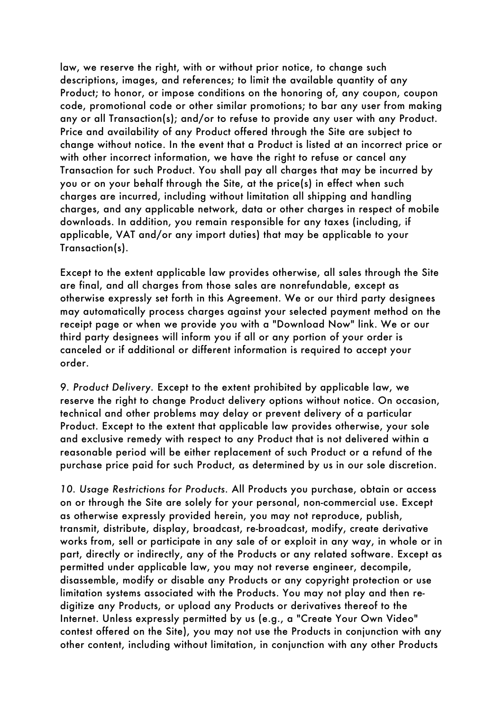law, we reserve the right, with or without prior notice, to change such descriptions, images, and references; to limit the available quantity of any Product; to honor, or impose conditions on the honoring of, any coupon, coupon code, promotional code or other similar promotions; to bar any user from making any or all Transaction(s); and/or to refuse to provide any user with any Product. Price and availability of any Product offered through the Site are subject to change without notice. In the event that a Product is listed at an incorrect price or with other incorrect information, we have the right to refuse or cancel any Transaction for such Product. You shall pay all charges that may be incurred by you or on your behalf through the Site, at the price(s) in effect when such charges are incurred, including without limitation all shipping and handling charges, and any applicable network, data or other charges in respect of mobile downloads. In addition, you remain responsible for any taxes (including, if applicable, VAT and/or any import duties) that may be applicable to your Transaction(s).

Except to the extent applicable law provides otherwise, all sales through the Site are final, and all charges from those sales are nonrefundable, except as otherwise expressly set forth in this Agreement. We or our third party designees may automatically process charges against your selected payment method on the receipt page or when we provide you with a "Download Now" link. We or our third party designees will inform you if all or any portion of your order is canceled or if additional or different information is required to accept your order.

*9. Product Delivery.* Except to the extent prohibited by applicable law, we reserve the right to change Product delivery options without notice. On occasion, technical and other problems may delay or prevent delivery of a particular Product. Except to the extent that applicable law provides otherwise, your sole and exclusive remedy with respect to any Product that is not delivered within a reasonable period will be either replacement of such Product or a refund of the purchase price paid for such Product, as determined by us in our sole discretion.

*10. Usage Restrictions for Products.* All Products you purchase, obtain or access on or through the Site are solely for your personal, non-commercial use. Except as otherwise expressly provided herein, you may not reproduce, publish, transmit, distribute, display, broadcast, re-broadcast, modify, create derivative works from, sell or participate in any sale of or exploit in any way, in whole or in part, directly or indirectly, any of the Products or any related software. Except as permitted under applicable law, you may not reverse engineer, decompile, disassemble, modify or disable any Products or any copyright protection or use limitation systems associated with the Products. You may not play and then redigitize any Products, or upload any Products or derivatives thereof to the Internet. Unless expressly permitted by us (e.g., a "Create Your Own Video" contest offered on the Site), you may not use the Products in conjunction with any other content, including without limitation, in conjunction with any other Products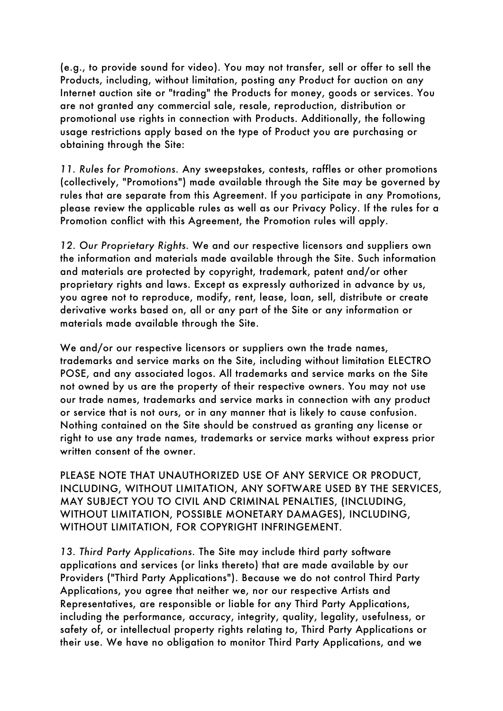(e.g., to provide sound for video). You may not transfer, sell or offer to sell the Products, including, without limitation, posting any Product for auction on any Internet auction site or "trading" the Products for money, goods or services. You are not granted any commercial sale, resale, reproduction, distribution or promotional use rights in connection with Products. Additionally, the following usage restrictions apply based on the type of Product you are purchasing or obtaining through the Site:

*11. Rules for Promotions.* Any sweepstakes, contests, raffles or other promotions (collectively, "Promotions") made available through the Site may be governed by rules that are separate from this Agreement. If you participate in any Promotions, please review the applicable rules as well as our Privacy Policy. If the rules for a Promotion conflict with this Agreement, the Promotion rules will apply.

*12. Our Proprietary Rights.* We and our respective licensors and suppliers own the information and materials made available through the Site. Such information and materials are protected by copyright, trademark, patent and/or other proprietary rights and laws. Except as expressly authorized in advance by us, you agree not to reproduce, modify, rent, lease, loan, sell, distribute or create derivative works based on, all or any part of the Site or any information or materials made available through the Site.

We and/or our respective licensors or suppliers own the trade names, trademarks and service marks on the Site, including without limitation ELECTRO POSE, and any associated logos. All trademarks and service marks on the Site not owned by us are the property of their respective owners. You may not use our trade names, trademarks and service marks in connection with any product or service that is not ours, or in any manner that is likely to cause confusion. Nothing contained on the Site should be construed as granting any license or right to use any trade names, trademarks or service marks without express prior written consent of the owner.

PLEASE NOTE THAT UNAUTHORIZED USE OF ANY SERVICE OR PRODUCT, INCLUDING, WITHOUT LIMITATION, ANY SOFTWARE USED BY THE SERVICES, MAY SUBJECT YOU TO CIVIL AND CRIMINAL PENALTIES, (INCLUDING, WITHOUT LIMITATION, POSSIBLE MONETARY DAMAGES), INCLUDING, WITHOUT LIMITATION, FOR COPYRIGHT INFRINGEMENT.

*13. Third Party Applications.* The Site may include third party software applications and services (or links thereto) that are made available by our Providers ("Third Party Applications"). Because we do not control Third Party Applications, you agree that neither we, nor our respective Artists and Representatives, are responsible or liable for any Third Party Applications, including the performance, accuracy, integrity, quality, legality, usefulness, or safety of, or intellectual property rights relating to, Third Party Applications or their use. We have no obligation to monitor Third Party Applications, and we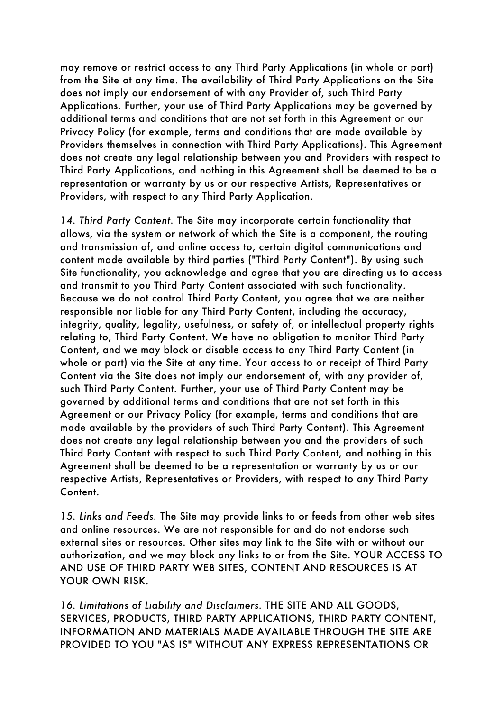may remove or restrict access to any Third Party Applications (in whole or part) from the Site at any time. The availability of Third Party Applications on the Site does not imply our endorsement of with any Provider of, such Third Party Applications. Further, your use of Third Party Applications may be governed by additional terms and conditions that are not set forth in this Agreement or our Privacy Policy (for example, terms and conditions that are made available by Providers themselves in connection with Third Party Applications). This Agreement does not create any legal relationship between you and Providers with respect to Third Party Applications, and nothing in this Agreement shall be deemed to be a representation or warranty by us or our respective Artists, Representatives or Providers, with respect to any Third Party Application.

*14. Third Party Content.* The Site may incorporate certain functionality that allows, via the system or network of which the Site is a component, the routing and transmission of, and online access to, certain digital communications and content made available by third parties ("Third Party Content"). By using such Site functionality, you acknowledge and agree that you are directing us to access and transmit to you Third Party Content associated with such functionality. Because we do not control Third Party Content, you agree that we are neither responsible nor liable for any Third Party Content, including the accuracy, integrity, quality, legality, usefulness, or safety of, or intellectual property rights relating to, Third Party Content. We have no obligation to monitor Third Party Content, and we may block or disable access to any Third Party Content (in whole or part) via the Site at any time. Your access to or receipt of Third Party Content via the Site does not imply our endorsement of, with any provider of, such Third Party Content. Further, your use of Third Party Content may be governed by additional terms and conditions that are not set forth in this Agreement or our Privacy Policy (for example, terms and conditions that are made available by the providers of such Third Party Content). This Agreement does not create any legal relationship between you and the providers of such Third Party Content with respect to such Third Party Content, and nothing in this Agreement shall be deemed to be a representation or warranty by us or our respective Artists, Representatives or Providers, with respect to any Third Party Content.

*15. Links and Feeds.* The Site may provide links to or feeds from other web sites and online resources. We are not responsible for and do not endorse such external sites or resources. Other sites may link to the Site with or without our authorization, and we may block any links to or from the Site. YOUR ACCESS TO AND USE OF THIRD PARTY WEB SITES, CONTENT AND RESOURCES IS AT YOUR OWN RISK.

*16. Limitations of Liability and Disclaimers.* THE SITE AND ALL GOODS, SERVICES, PRODUCTS, THIRD PARTY APPLICATIONS, THIRD PARTY CONTENT, INFORMATION AND MATERIALS MADE AVAILABLE THROUGH THE SITE ARE PROVIDED TO YOU "AS IS" WITHOUT ANY EXPRESS REPRESENTATIONS OR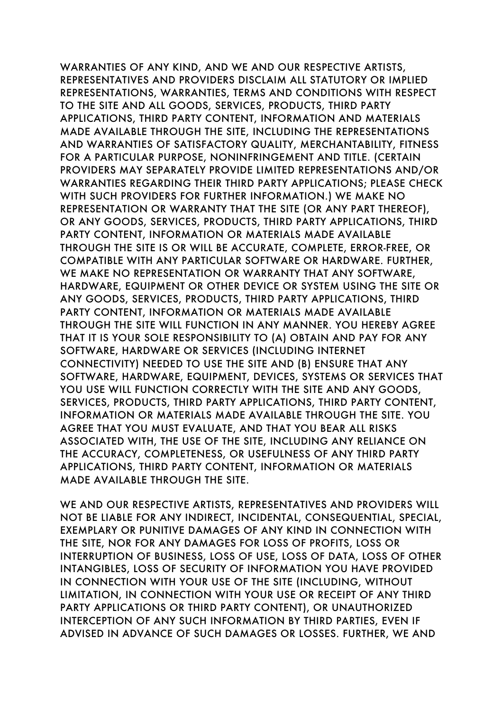WARRANTIES OF ANY KIND, AND WE AND OUR RESPECTIVE ARTISTS, REPRESENTATIVES AND PROVIDERS DISCLAIM ALL STATUTORY OR IMPLIED REPRESENTATIONS, WARRANTIES, TERMS AND CONDITIONS WITH RESPECT TO THE SITE AND ALL GOODS, SERVICES, PRODUCTS, THIRD PARTY APPLICATIONS, THIRD PARTY CONTENT, INFORMATION AND MATERIALS MADE AVAILABLE THROUGH THE SITE, INCLUDING THE REPRESENTATIONS AND WARRANTIES OF SATISFACTORY QUALITY, MERCHANTABILITY, FITNESS FOR A PARTICULAR PURPOSE, NONINFRINGEMENT AND TITLE. (CERTAIN PROVIDERS MAY SEPARATELY PROVIDE LIMITED REPRESENTATIONS AND/OR WARRANTIES REGARDING THEIR THIRD PARTY APPLICATIONS; PLEASE CHECK WITH SUCH PROVIDERS FOR FURTHER INFORMATION.) WE MAKE NO REPRESENTATION OR WARRANTY THAT THE SITE (OR ANY PART THEREOF), OR ANY GOODS, SERVICES, PRODUCTS, THIRD PARTY APPLICATIONS, THIRD PARTY CONTENT, INFORMATION OR MATERIALS MADE AVAILABLE THROUGH THE SITE IS OR WILL BE ACCURATE, COMPLETE, ERROR-FREE, OR COMPATIBLE WITH ANY PARTICULAR SOFTWARE OR HARDWARE. FURTHER, WE MAKE NO REPRESENTATION OR WARRANTY THAT ANY SOFTWARE, HARDWARE, EQUIPMENT OR OTHER DEVICE OR SYSTEM USING THE SITE OR ANY GOODS, SERVICES, PRODUCTS, THIRD PARTY APPLICATIONS, THIRD PARTY CONTENT, INFORMATION OR MATERIALS MADE AVAILABLE THROUGH THE SITE WILL FUNCTION IN ANY MANNER. YOU HEREBY AGREE THAT IT IS YOUR SOLE RESPONSIBILITY TO (A) OBTAIN AND PAY FOR ANY SOFTWARE, HARDWARE OR SERVICES (INCLUDING INTERNET CONNECTIVITY) NEEDED TO USE THE SITE AND (B) ENSURE THAT ANY SOFTWARE, HARDWARE, EQUIPMENT, DEVICES, SYSTEMS OR SERVICES THAT YOU USE WILL FUNCTION CORRECTLY WITH THE SITE AND ANY GOODS, SERVICES, PRODUCTS, THIRD PARTY APPLICATIONS, THIRD PARTY CONTENT, INFORMATION OR MATERIALS MADE AVAILABLE THROUGH THE SITE. YOU AGREE THAT YOU MUST EVALUATE, AND THAT YOU BEAR ALL RISKS ASSOCIATED WITH, THE USE OF THE SITE, INCLUDING ANY RELIANCE ON THE ACCURACY, COMPLETENESS, OR USEFULNESS OF ANY THIRD PARTY APPLICATIONS, THIRD PARTY CONTENT, INFORMATION OR MATERIALS MADE AVAILABLE THROUGH THE SITE.

WE AND OUR RESPECTIVE ARTISTS, REPRESENTATIVES AND PROVIDERS WILL NOT BE LIABLE FOR ANY INDIRECT, INCIDENTAL, CONSEQUENTIAL, SPECIAL, EXEMPLARY OR PUNITIVE DAMAGES OF ANY KIND IN CONNECTION WITH THE SITE, NOR FOR ANY DAMAGES FOR LOSS OF PROFITS, LOSS OR INTERRUPTION OF BUSINESS, LOSS OF USE, LOSS OF DATA, LOSS OF OTHER INTANGIBLES, LOSS OF SECURITY OF INFORMATION YOU HAVE PROVIDED IN CONNECTION WITH YOUR USE OF THE SITE (INCLUDING, WITHOUT LIMITATION, IN CONNECTION WITH YOUR USE OR RECEIPT OF ANY THIRD PARTY APPLICATIONS OR THIRD PARTY CONTENT), OR UNAUTHORIZED INTERCEPTION OF ANY SUCH INFORMATION BY THIRD PARTIES, EVEN IF ADVISED IN ADVANCE OF SUCH DAMAGES OR LOSSES. FURTHER, WE AND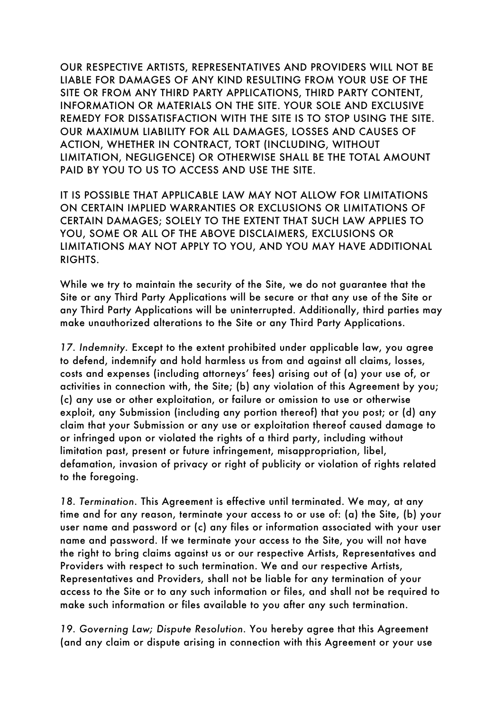OUR RESPECTIVE ARTISTS, REPRESENTATIVES AND PROVIDERS WILL NOT BE LIABLE FOR DAMAGES OF ANY KIND RESULTING FROM YOUR USE OF THE SITE OR FROM ANY THIRD PARTY APPLICATIONS, THIRD PARTY CONTENT, INFORMATION OR MATERIALS ON THE SITE. YOUR SOLE AND EXCLUSIVE REMEDY FOR DISSATISFACTION WITH THE SITE IS TO STOP USING THE SITE. OUR MAXIMUM LIABILITY FOR ALL DAMAGES, LOSSES AND CAUSES OF ACTION, WHETHER IN CONTRACT, TORT (INCLUDING, WITHOUT LIMITATION, NEGLIGENCE) OR OTHERWISE SHALL BE THE TOTAL AMOUNT PAID BY YOU TO US TO ACCESS AND USE THE SITE.

IT IS POSSIBLE THAT APPLICABLE LAW MAY NOT ALLOW FOR LIMITATIONS ON CERTAIN IMPLIED WARRANTIES OR EXCLUSIONS OR LIMITATIONS OF CERTAIN DAMAGES; SOLELY TO THE EXTENT THAT SUCH LAW APPLIES TO YOU, SOME OR ALL OF THE ABOVE DISCLAIMERS, EXCLUSIONS OR LIMITATIONS MAY NOT APPLY TO YOU, AND YOU MAY HAVE ADDITIONAL RIGHTS.

While we try to maintain the security of the Site, we do not guarantee that the Site or any Third Party Applications will be secure or that any use of the Site or any Third Party Applications will be uninterrupted. Additionally, third parties may make unauthorized alterations to the Site or any Third Party Applications.

*17. Indemnity.* Except to the extent prohibited under applicable law, you agree to defend, indemnify and hold harmless us from and against all claims, losses, costs and expenses (including attorneys' fees) arising out of (a) your use of, or activities in connection with, the Site; (b) any violation of this Agreement by you; (c) any use or other exploitation, or failure or omission to use or otherwise exploit, any Submission (including any portion thereof) that you post; or (d) any claim that your Submission or any use or exploitation thereof caused damage to or infringed upon or violated the rights of a third party, including without limitation past, present or future infringement, misappropriation, libel, defamation, invasion of privacy or right of publicity or violation of rights related to the foregoing.

*18. Termination.* This Agreement is effective until terminated. We may, at any time and for any reason, terminate your access to or use of: (a) the Site, (b) your user name and password or (c) any files or information associated with your user name and password. If we terminate your access to the Site, you will not have the right to bring claims against us or our respective Artists, Representatives and Providers with respect to such termination. We and our respective Artists, Representatives and Providers, shall not be liable for any termination of your access to the Site or to any such information or files, and shall not be required to make such information or files available to you after any such termination.

*19. Governing Law; Dispute Resolution.* You hereby agree that this Agreement (and any claim or dispute arising in connection with this Agreement or your use